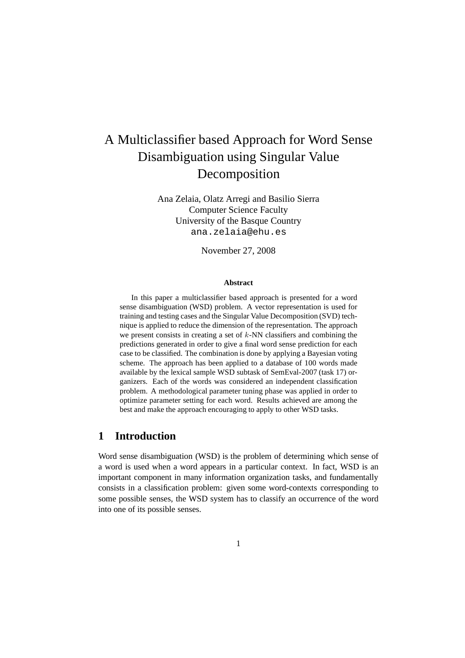# A Multiclassifier based Approach for Word Sense Disambiguation using Singular Value Decomposition

Ana Zelaia, Olatz Arregi and Basilio Sierra Computer Science Faculty University of the Basque Country ana.zelaia@ehu.es

November 27, 2008

#### **Abstract**

In this paper a multiclassifier based approach is presented for a word sense disambiguation (WSD) problem. A vector representation is used for training and testing cases and the Singular Value Decomposition (SVD) technique is applied to reduce the dimension of the representation. The approach we present consists in creating a set of  $k$ -NN classifiers and combining the predictions generated in order to give a final word sense prediction for each case to be classified. The combination is done by applying a Bayesian voting scheme. The approach has been applied to a database of 100 words made available by the lexical sample WSD subtask of SemEval-2007 (task 17) organizers. Each of the words was considered an independent classification problem. A methodological parameter tuning phase was applied in order to optimize parameter setting for each word. Results achieved are among the best and make the approach encouraging to apply to other WSD tasks.

### **1 Introduction**

Word sense disambiguation (WSD) is the problem of determining which sense of a word is used when a word appears in a particular context. In fact, WSD is an important component in many information organization tasks, and fundamentally consists in a classification problem: given some word-contexts corresponding to some possible senses, the WSD system has to classify an occurrence of the word into one of its possible senses.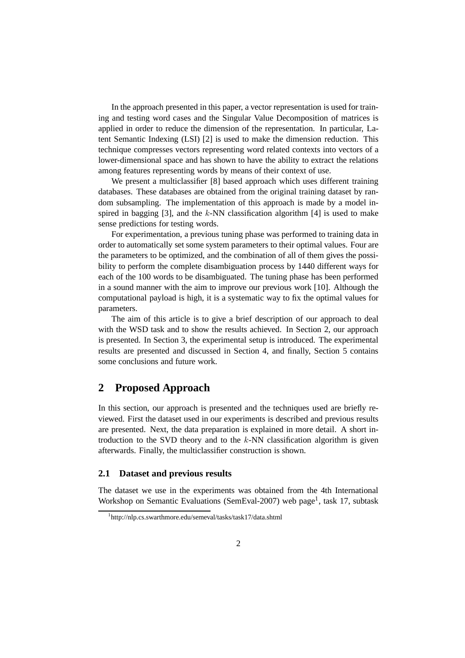In the approach presented in this paper, a vector representation is used for training and testing word cases and the Singular Value Decomposition of matrices is applied in order to reduce the dimension of the representation. In particular, Latent Semantic Indexing (LSI) [2] is used to make the dimension reduction. This technique compresses vectors representing word related contexts into vectors of a lower-dimensional space and has shown to have the ability to extract the relations among features representing words by means of their context of use.

We present a multiclassifier [8] based approach which uses different training databases. These databases are obtained from the original training dataset by random subsampling. The implementation of this approach is made by a model inspired in bagging [3], and the  $k$ -NN classification algorithm [4] is used to make sense predictions for testing words.

For experimentation, a previous tuning phase was performed to training data in order to automatically set some system parameters to their optimal values. Four are the parameters to be optimized, and the combination of all of them gives the possibility to perform the complete disambiguation process by 1440 different ways for each of the 100 words to be disambiguated. The tuning phase has been performed in a sound manner with the aim to improve our previous work [10]. Although the computational payload is high, it is a systematic way to fix the optimal values for parameters.

The aim of this article is to give a brief description of our approach to deal with the WSD task and to show the results achieved. In Section 2, our approach is presented. In Section 3, the experimental setup is introduced. The experimental results are presented and discussed in Section 4, and finally, Section 5 contains some conclusions and future work.

### **2 Proposed Approach**

In this section, our approach is presented and the techniques used are briefly reviewed. First the dataset used in our experiments is described and previous results are presented. Next, the data preparation is explained in more detail. A short introduction to the SVD theory and to the  $k$ -NN classification algorithm is given afterwards. Finally, the multiclassifier construction is shown.

### **2.1 Dataset and previous results**

The dataset we use in the experiments was obtained from the 4th International Workshop on Semantic Evaluations (SemEval-2007) web page<sup>1</sup>, task 17, subtask

<sup>1</sup> http://nlp.cs.swarthmore.edu/semeval/tasks/task17/data.shtml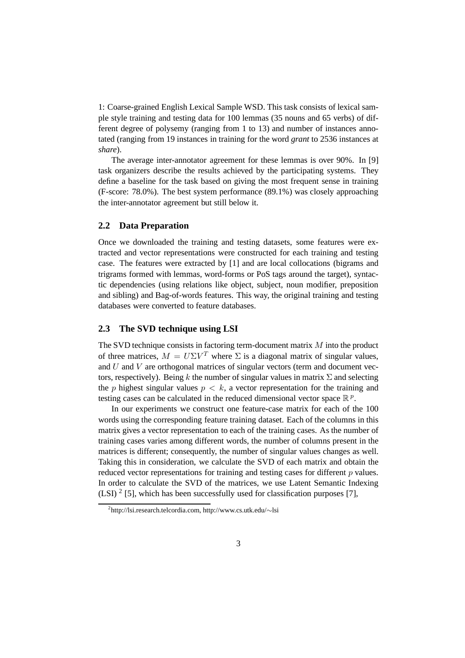1: Coarse-grained English Lexical Sample WSD. This task consists of lexical sample style training and testing data for 100 lemmas (35 nouns and 65 verbs) of different degree of polysemy (ranging from 1 to 13) and number of instances annotated (ranging from 19 instances in training for the word *grant* to 2536 instances at *share*).

The average inter-annotator agreement for these lemmas is over 90%. In [9] task organizers describe the results achieved by the participating systems. They define a baseline for the task based on giving the most frequent sense in training (F-score: 78.0%). The best system performance (89.1%) was closely approaching the inter-annotator agreement but still below it.

#### **2.2 Data Preparation**

Once we downloaded the training and testing datasets, some features were extracted and vector representations were constructed for each training and testing case. The features were extracted by [1] and are local collocations (bigrams and trigrams formed with lemmas, word-forms or PoS tags around the target), syntactic dependencies (using relations like object, subject, noun modifier, preposition and sibling) and Bag-of-words features. This way, the original training and testing databases were converted to feature databases.

### **2.3 The SVD technique using LSI**

The SVD technique consists in factoring term-document matrix M into the product of three matrices,  $M = U\Sigma V^T$  where  $\Sigma$  is a diagonal matrix of singular values, and  $U$  and  $V$  are orthogonal matrices of singular vectors (term and document vectors, respectively). Being k the number of singular values in matrix  $\Sigma$  and selecting the p highest singular values  $p < k$ , a vector representation for the training and testing cases can be calculated in the reduced dimensional vector space  $\mathbb{R}^p$ .

In our experiments we construct one feature-case matrix for each of the 100 words using the corresponding feature training dataset. Each of the columns in this matrix gives a vector representation to each of the training cases. As the number of training cases varies among different words, the number of columns present in the matrices is different; consequently, the number of singular values changes as well. Taking this in consideration, we calculate the SVD of each matrix and obtain the reduced vector representations for training and testing cases for different p values. In order to calculate the SVD of the matrices, we use Latent Semantic Indexing (LSI)<sup>2</sup> [5], which has been successfully used for classification purposes [7],

<sup>2</sup> http://lsi.research.telcordia.com, http://www.cs.utk.edu/∼lsi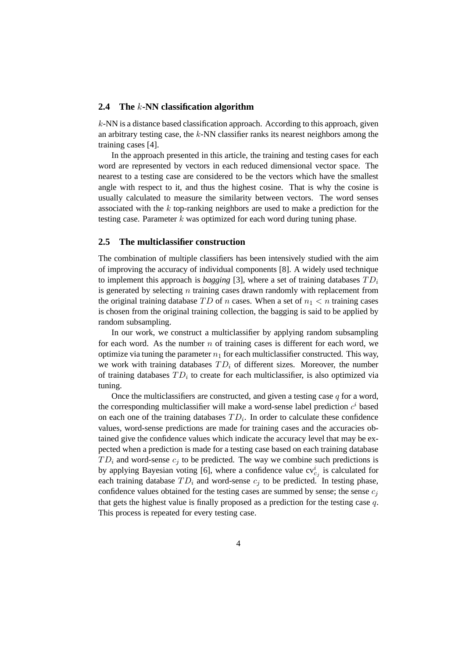#### **2.4 The** k**-NN classification algorithm**

k-NN is a distance based classification approach. According to this approach, given an arbitrary testing case, the  $k$ -NN classifier ranks its nearest neighbors among the training cases [4].

In the approach presented in this article, the training and testing cases for each word are represented by vectors in each reduced dimensional vector space. The nearest to a testing case are considered to be the vectors which have the smallest angle with respect to it, and thus the highest cosine. That is why the cosine is usually calculated to measure the similarity between vectors. The word senses associated with the k top-ranking neighbors are used to make a prediction for the testing case. Parameter  $k$  was optimized for each word during tuning phase.

#### **2.5 The multiclassifier construction**

The combination of multiple classifiers has been intensively studied with the aim of improving the accuracy of individual components [8]. A widely used technique to implement this approach is *bagging* [3], where a set of training databases  $TD_i$ is generated by selecting  $n$  training cases drawn randomly with replacement from the original training database  $TD$  of n cases. When a set of  $n_1 < n$  training cases is chosen from the original training collection, the bagging is said to be applied by random subsampling.

In our work, we construct a multiclassifier by applying random subsampling for each word. As the number  $n$  of training cases is different for each word, we optimize via tuning the parameter  $n_1$  for each multiclassifier constructed. This way, we work with training databases  $TD_i$  of different sizes. Moreover, the number of training databases  $TD_i$  to create for each multiclassifier, is also optimized via tuning.

Once the multiclassifiers are constructed, and given a testing case  $q$  for a word, the corresponding multiclassifier will make a word-sense label prediction  $c^i$  based on each one of the training databases  $TD_i$ . In order to calculate these confidence values, word-sense predictions are made for training cases and the accuracies obtained give the confidence values which indicate the accuracy level that may be expected when a prediction is made for a testing case based on each training database  $TD_i$  and word-sense  $c_i$  to be predicted. The way we combine such predictions is by applying Bayesian voting [6], where a confidence value  $cv_{c_j}^i$  is calculated for each training database  $TD_i$  and word-sense  $c_i$  to be predicted. In testing phase, confidence values obtained for the testing cases are summed by sense; the sense  $c_i$ that gets the highest value is finally proposed as a prediction for the testing case  $q$ . This process is repeated for every testing case.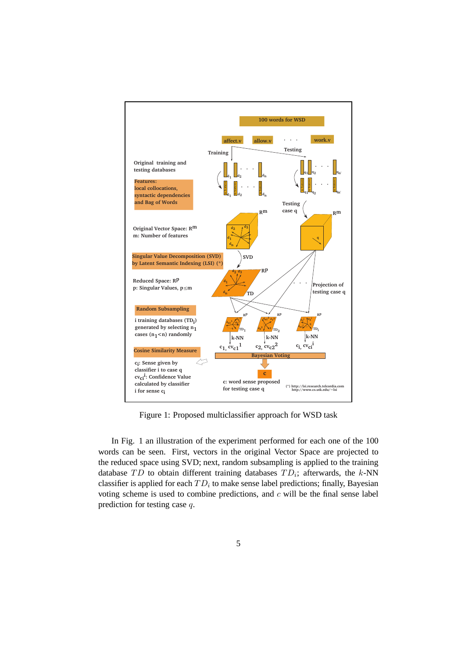

Figure 1: Proposed multiclassifier approach for WSD task

In Fig. 1 an illustration of the experiment performed for each one of the 100 words can be seen. First, vectors in the original Vector Space are projected to the reduced space using SVD; next, random subsampling is applied to the training database  $TD$  to obtain different training databases  $TD_i$ ; afterwards, the k-NN classifier is applied for each  $TD_i$  to make sense label predictions; finally, Bayesian voting scheme is used to combine predictions, and  $c$  will be the final sense label prediction for testing case q.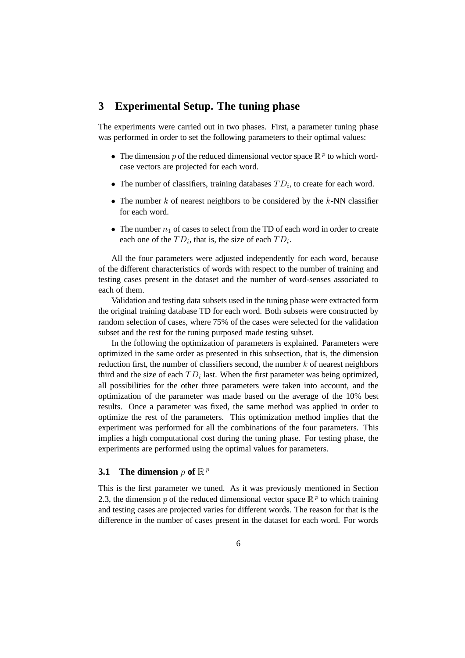### **3 Experimental Setup. The tuning phase**

The experiments were carried out in two phases. First, a parameter tuning phase was performed in order to set the following parameters to their optimal values:

- The dimension p of the reduced dimensional vector space  $\mathbb{R}^p$  to which wordcase vectors are projected for each word.
- The number of classifiers, training databases  $TD_i$ , to create for each word.
- The number  $k$  of nearest neighbors to be considered by the  $k$ -NN classifier for each word.
- The number  $n_1$  of cases to select from the TD of each word in order to create each one of the  $TD_i$ , that is, the size of each  $TD_i$ .

All the four parameters were adjusted independently for each word, because of the different characteristics of words with respect to the number of training and testing cases present in the dataset and the number of word-senses associated to each of them.

Validation and testing data subsets used in the tuning phase were extracted form the original training database TD for each word. Both subsets were constructed by random selection of cases, where 75% of the cases were selected for the validation subset and the rest for the tuning purposed made testing subset.

In the following the optimization of parameters is explained. Parameters were optimized in the same order as presented in this subsection, that is, the dimension reduction first, the number of classifiers second, the number  $k$  of nearest neighbors third and the size of each  $TD_i$  last. When the first parameter was being optimized, all possibilities for the other three parameters were taken into account, and the optimization of the parameter was made based on the average of the 10% best results. Once a parameter was fixed, the same method was applied in order to optimize the rest of the parameters. This optimization method implies that the experiment was performed for all the combinations of the four parameters. This implies a high computational cost during the tuning phase. For testing phase, the experiments are performed using the optimal values for parameters.

## **3.1** The dimension  $p$  of  $\mathbb{R}^p$

This is the first parameter we tuned. As it was previously mentioned in Section 2.3, the dimension p of the reduced dimensional vector space  $\mathbb{R}^p$  to which training and testing cases are projected varies for different words. The reason for that is the difference in the number of cases present in the dataset for each word. For words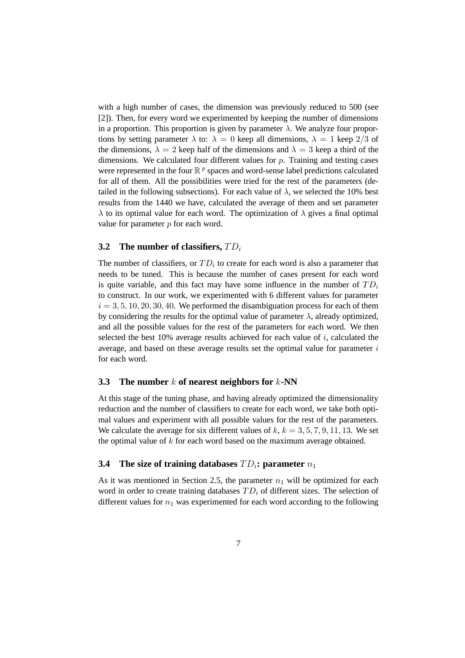with a high number of cases, the dimension was previously reduced to 500 (see [2]). Then, for every word we experimented by keeping the number of dimensions in a proportion. This proportion is given by parameter  $\lambda$ . We analyze four proportions by setting parameter  $\lambda$  to:  $\lambda = 0$  keep all dimensions,  $\lambda = 1$  keep 2/3 of the dimensions,  $\lambda = 2$  keep half of the dimensions and  $\lambda = 3$  keep a third of the dimensions. We calculated four different values for  $p$ . Training and testing cases were represented in the four  $\mathbb{R}^p$  spaces and word-sense label predictions calculated for all of them. All the possibilities were tried for the rest of the parameters (detailed in the following subsections). For each value of  $\lambda$ , we selected the 10% best results from the 1440 we have, calculated the average of them and set parameter  $\lambda$  to its optimal value for each word. The optimization of  $\lambda$  gives a final optimal value for parameter  $p$  for each word.

#### **3.2** The number of classifiers,  $TD_i$

The number of classifiers, or  $TD_i$  to create for each word is also a parameter that needs to be tuned. This is because the number of cases present for each word is quite variable, and this fact may have some influence in the number of  $TD_i$ to construct. In our work, we experimented with 6 different values for parameter  $i = 3, 5, 10, 20, 30, 40$ . We performed the disambiguation process for each of them by considering the results for the optimal value of parameter  $\lambda$ , already optimized, and all the possible values for the rest of the parameters for each word. We then selected the best 10% average results achieved for each value of  $i$ , calculated the average, and based on these average results set the optimal value for parameter  $i$ for each word.

#### **3.3 The number** k **of nearest neighbors for** k**-NN**

At this stage of the tuning phase, and having already optimized the dimensionality reduction and the number of classifiers to create for each word, we take both optimal values and experiment with all possible values for the rest of the parameters. We calculate the average for six different values of  $k, k = 3, 5, 7, 9, 11, 13$ . We set the optimal value of  $k$  for each word based on the maximum average obtained.

#### **3.4** The size of training databases  $TD_i$ : parameter  $n_1$

As it was mentioned in Section 2.5, the parameter  $n_1$  will be optimized for each word in order to create training databases  $TD_i$  of different sizes. The selection of different values for  $n_1$  was experimented for each word according to the following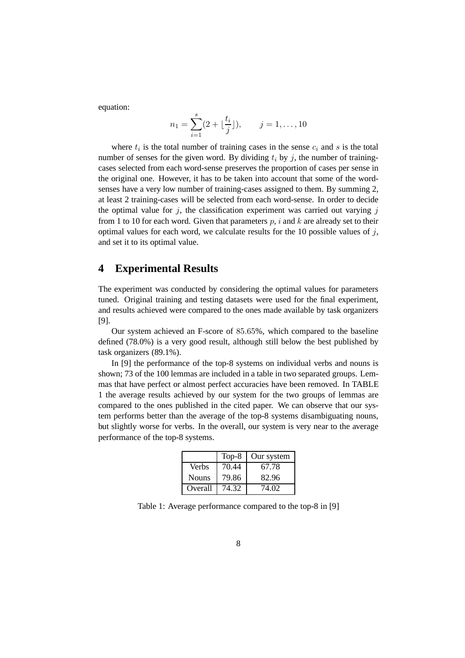equation:

$$
n_1 = \sum_{i=1}^{s} (2 + \lfloor \frac{t_i}{j} \rfloor), \qquad j = 1, \dots, 10
$$

where  $t_i$  is the total number of training cases in the sense  $c_i$  and s is the total number of senses for the given word. By dividing  $t_i$  by j, the number of trainingcases selected from each word-sense preserves the proportion of cases per sense in the original one. However, it has to be taken into account that some of the wordsenses have a very low number of training-cases assigned to them. By summing 2, at least 2 training-cases will be selected from each word-sense. In order to decide the optimal value for  $j$ , the classification experiment was carried out varying  $j$ from 1 to 10 for each word. Given that parameters  $p, i$  and k are already set to their optimal values for each word, we calculate results for the 10 possible values of  $j$ , and set it to its optimal value.

### **4 Experimental Results**

The experiment was conducted by considering the optimal values for parameters tuned. Original training and testing datasets were used for the final experiment, and results achieved were compared to the ones made available by task organizers [9].

Our system achieved an F-score of 85.65%, which compared to the baseline defined (78.0%) is a very good result, although still below the best published by task organizers (89.1%).

In [9] the performance of the top-8 systems on individual verbs and nouns is shown; 73 of the 100 lemmas are included in a table in two separated groups. Lemmas that have perfect or almost perfect accuracies have been removed. In TABLE 1 the average results achieved by our system for the two groups of lemmas are compared to the ones published in the cited paper. We can observe that our system performs better than the average of the top-8 systems disambiguating nouns, but slightly worse for verbs. In the overall, our system is very near to the average performance of the top-8 systems.

|              | Top-8 | Our system |
|--------------|-------|------------|
| <b>Verbs</b> | 70.44 | 67.78      |
| <b>Nouns</b> | 79.86 | 82.96      |
| Overall      | 74.32 | 74.02      |

Table 1: Average performance compared to the top-8 in [9]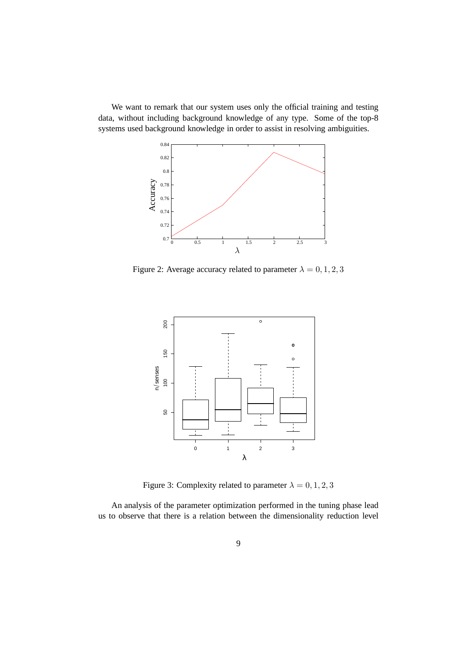We want to remark that our system uses only the official training and testing data, without including background knowledge of any type. Some of the top-8 systems used background knowledge in order to assist in resolving ambiguities.



Figure 2: Average accuracy related to parameter  $\lambda = 0, 1, 2, 3$ 



Figure 3: Complexity related to parameter  $\lambda = 0, 1, 2, 3$ 

An analysis of the parameter optimization performed in the tuning phase lead us to observe that there is a relation between the dimensionality reduction level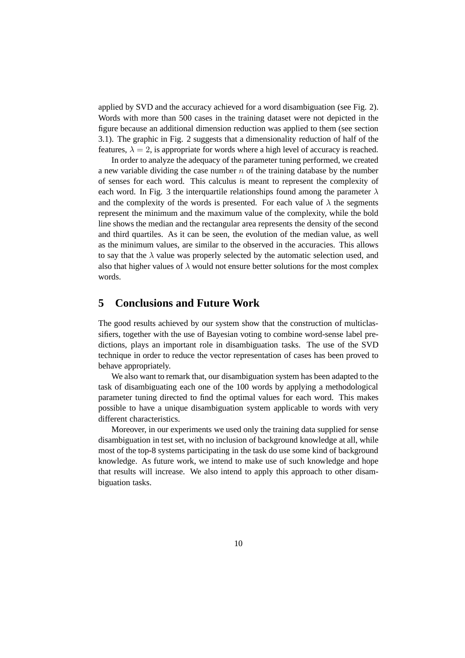applied by SVD and the accuracy achieved for a word disambiguation (see Fig. 2). Words with more than 500 cases in the training dataset were not depicted in the figure because an additional dimension reduction was applied to them (see section 3.1). The graphic in Fig. 2 suggests that a dimensionality reduction of half of the features,  $\lambda = 2$ , is appropriate for words where a high level of accuracy is reached.

In order to analyze the adequacy of the parameter tuning performed, we created a new variable dividing the case number  $n$  of the training database by the number of senses for each word. This calculus is meant to represent the complexity of each word. In Fig. 3 the interquartile relationships found among the parameter  $\lambda$ and the complexity of the words is presented. For each value of  $\lambda$  the segments represent the minimum and the maximum value of the complexity, while the bold line shows the median and the rectangular area represents the density of the second and third quartiles. As it can be seen, the evolution of the median value, as well as the minimum values, are similar to the observed in the accuracies. This allows to say that the  $\lambda$  value was properly selected by the automatic selection used, and also that higher values of  $\lambda$  would not ensure better solutions for the most complex words.

### **5 Conclusions and Future Work**

The good results achieved by our system show that the construction of multiclassifiers, together with the use of Bayesian voting to combine word-sense label predictions, plays an important role in disambiguation tasks. The use of the SVD technique in order to reduce the vector representation of cases has been proved to behave appropriately.

We also want to remark that, our disambiguation system has been adapted to the task of disambiguating each one of the 100 words by applying a methodological parameter tuning directed to find the optimal values for each word. This makes possible to have a unique disambiguation system applicable to words with very different characteristics.

Moreover, in our experiments we used only the training data supplied for sense disambiguation in test set, with no inclusion of background knowledge at all, while most of the top-8 systems participating in the task do use some kind of background knowledge. As future work, we intend to make use of such knowledge and hope that results will increase. We also intend to apply this approach to other disambiguation tasks.